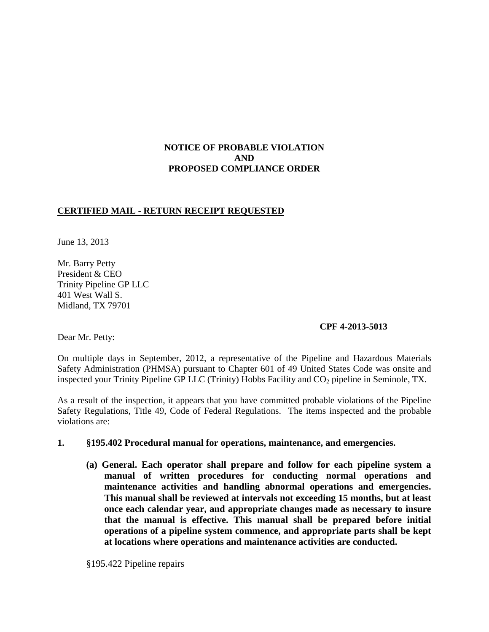## **NOTICE OF PROBABLE VIOLATION AND PROPOSED COMPLIANCE ORDER**

## **CERTIFIED MAIL - RETURN RECEIPT REQUESTED**

June 13, 2013

Mr. Barry Petty President & CEO Trinity Pipeline GP LLC 401 West Wall S. Midland, TX 79701

## **CPF 4-2013-5013**

Dear Mr. Petty:

On multiple days in September, 2012, a representative of the Pipeline and Hazardous Materials Safety Administration (PHMSA) pursuant to Chapter 601 of 49 United States Code was onsite and inspected your Trinity Pipeline GP LLC (Trinity) Hobbs Facility and  $CO<sub>2</sub>$  pipeline in Seminole, TX.

As a result of the inspection, it appears that you have committed probable violations of the Pipeline Safety Regulations, Title 49, Code of Federal Regulations. The items inspected and the probable violations are:

#### **1. §195.402 Procedural manual for operations, maintenance, and emergencies.**

**(a) General. Each operator shall prepare and follow for each pipeline system a manual of written procedures for conducting normal operations and maintenance activities and handling abnormal operations and emergencies. This manual shall be reviewed at intervals not exceeding 15 months, but at least once each calendar year, and appropriate changes made as necessary to insure that the manual is effective. This manual shall be prepared before initial operations of a pipeline system commence, and appropriate parts shall be kept at locations where operations and maintenance activities are conducted.**

§195.422 Pipeline repairs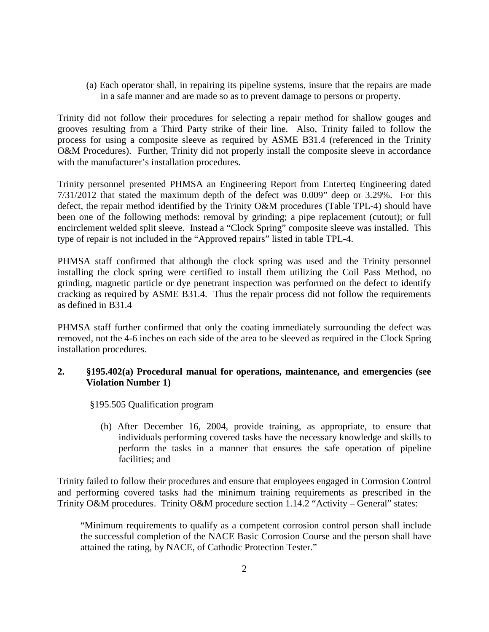(a) Each operator shall, in repairing its pipeline systems, insure that the repairs are made in a safe manner and are made so as to prevent damage to persons or property.

Trinity did not follow their procedures for selecting a repair method for shallow gouges and grooves resulting from a Third Party strike of their line. Also, Trinity failed to follow the process for using a composite sleeve as required by ASME B31.4 (referenced in the Trinity O&M Procedures). Further, Trinity did not properly install the composite sleeve in accordance with the manufacturer's installation procedures.

Trinity personnel presented PHMSA an Engineering Report from Enterteq Engineering dated 7/31/2012 that stated the maximum depth of the defect was 0.009" deep or 3.29%. For this defect, the repair method identified by the Trinity O&M procedures (Table TPL-4) should have been one of the following methods: removal by grinding; a pipe replacement (cutout); or full encirclement welded split sleeve. Instead a "Clock Spring" composite sleeve was installed. This type of repair is not included in the "Approved repairs" listed in table TPL-4.

PHMSA staff confirmed that although the clock spring was used and the Trinity personnel installing the clock spring were certified to install them utilizing the Coil Pass Method, no grinding, magnetic particle or dye penetrant inspection was performed on the defect to identify cracking as required by ASME B31.4. Thus the repair process did not follow the requirements as defined in B31.4

PHMSA staff further confirmed that only the coating immediately surrounding the defect was removed, not the 4-6 inches on each side of the area to be sleeved as required in the Clock Spring installation procedures.

## **2. §195.402(a) Procedural manual for operations, maintenance, and emergencies (see Violation Number 1)**

§195.505 Qualification program

(h) After December 16, 2004, provide training, as appropriate, to ensure that individuals performing covered tasks have the necessary knowledge and skills to perform the tasks in a manner that ensures the safe operation of pipeline facilities; and

Trinity failed to follow their procedures and ensure that employees engaged in Corrosion Control and performing covered tasks had the minimum training requirements as prescribed in the Trinity O&M procedures. Trinity O&M procedure section 1.14.2 "Activity – General" states:

"Minimum requirements to qualify as a competent corrosion control person shall include the successful completion of the NACE Basic Corrosion Course and the person shall have attained the rating, by NACE, of Cathodic Protection Tester."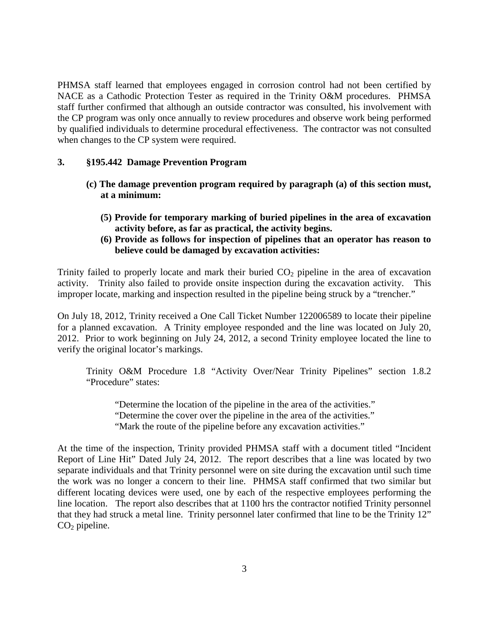PHMSA staff learned that employees engaged in corrosion control had not been certified by NACE as a Cathodic Protection Tester as required in the Trinity O&M procedures. PHMSA staff further confirmed that although an outside contractor was consulted, his involvement with the CP program was only once annually to review procedures and observe work being performed by qualified individuals to determine procedural effectiveness. The contractor was not consulted when changes to the CP system were required.

#### **3. §195.442 Damage Prevention Program**

- **(c) The damage prevention program required by paragraph (a) of this section must, at a minimum:**
	- **(5) Provide for temporary marking of buried pipelines in the area of excavation activity before, as far as practical, the activity begins.**
	- **(6) Provide as follows for inspection of pipelines that an operator has reason to believe could be damaged by excavation activities:**

Trinity failed to properly locate and mark their buried  $CO<sub>2</sub>$  pipeline in the area of excavation activity. Trinity also failed to provide onsite inspection during the excavation activity. This improper locate, marking and inspection resulted in the pipeline being struck by a "trencher."

On July 18, 2012, Trinity received a One Call Ticket Number 122006589 to locate their pipeline for a planned excavation. A Trinity employee responded and the line was located on July 20, 2012. Prior to work beginning on July 24, 2012, a second Trinity employee located the line to verify the original locator's markings.

Trinity O&M Procedure 1.8 "Activity Over/Near Trinity Pipelines" section 1.8.2 "Procedure" states:

"Determine the location of the pipeline in the area of the activities." "Determine the cover over the pipeline in the area of the activities." "Mark the route of the pipeline before any excavation activities."

At the time of the inspection, Trinity provided PHMSA staff with a document titled "Incident Report of Line Hit" Dated July 24, 2012. The report describes that a line was located by two separate individuals and that Trinity personnel were on site during the excavation until such time the work was no longer a concern to their line. PHMSA staff confirmed that two similar but different locating devices were used, one by each of the respective employees performing the line location. The report also describes that at 1100 hrs the contractor notified Trinity personnel that they had struck a metal line. Trinity personnel later confirmed that line to be the Trinity 12"  $CO<sub>2</sub>$  pipeline.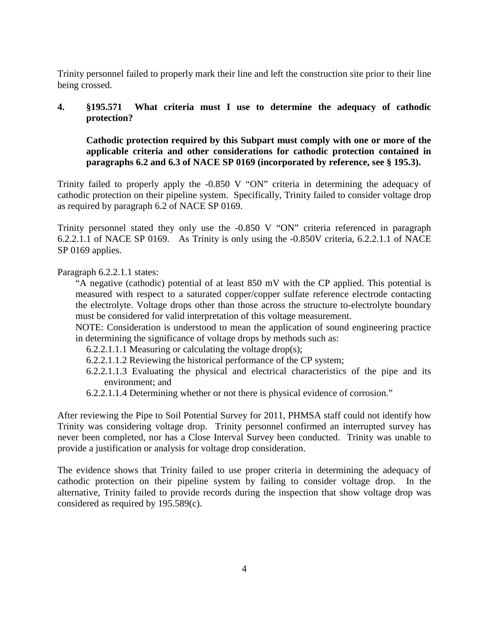Trinity personnel failed to properly mark their line and left the construction site prior to their line being crossed.

## **4. §195.571 What criteria must I use to determine the adequacy of cathodic protection?**

**Cathodic protection required by this Subpart must comply with one or more of the applicable criteria and other considerations for cathodic protection contained in paragraphs 6.2 and 6.3 of NACE SP 0169 (incorporated by reference, see § 195.3).**

Trinity failed to properly apply the -0.850 V "ON" criteria in determining the adequacy of cathodic protection on their pipeline system. Specifically, Trinity failed to consider voltage drop as required by paragraph 6.2 of NACE SP 0169.

Trinity personnel stated they only use the -0.850 V "ON" criteria referenced in paragraph 6.2.2.1.1 of NACE SP 0169. As Trinity is only using the -0.850V criteria, 6.2.2.1.1 of NACE SP 0169 applies.

Paragraph 6.2.2.1.1 states:

"A negative (cathodic) potential of at least 850 mV with the CP applied. This potential is measured with respect to a saturated copper/copper sulfate reference electrode contacting the electrolyte. Voltage drops other than those across the structure to-electrolyte boundary must be considered for valid interpretation of this voltage measurement.

NOTE: Consideration is understood to mean the application of sound engineering practice in determining the significance of voltage drops by methods such as:

- 6.2.2.1.1.1 Measuring or calculating the voltage drop(s);
- 6.2.2.1.1.2 Reviewing the historical performance of the CP system;
- 6.2.2.1.1.3 Evaluating the physical and electrical characteristics of the pipe and its environment; and
- 6.2.2.1.1.4 Determining whether or not there is physical evidence of corrosion."

After reviewing the Pipe to Soil Potential Survey for 2011, PHMSA staff could not identify how Trinity was considering voltage drop. Trinity personnel confirmed an interrupted survey has never been completed, nor has a Close Interval Survey been conducted. Trinity was unable to provide a justification or analysis for voltage drop consideration.

The evidence shows that Trinity failed to use proper criteria in determining the adequacy of cathodic protection on their pipeline system by failing to consider voltage drop. In the alternative, Trinity failed to provide records during the inspection that show voltage drop was considered as required by 195.589(c).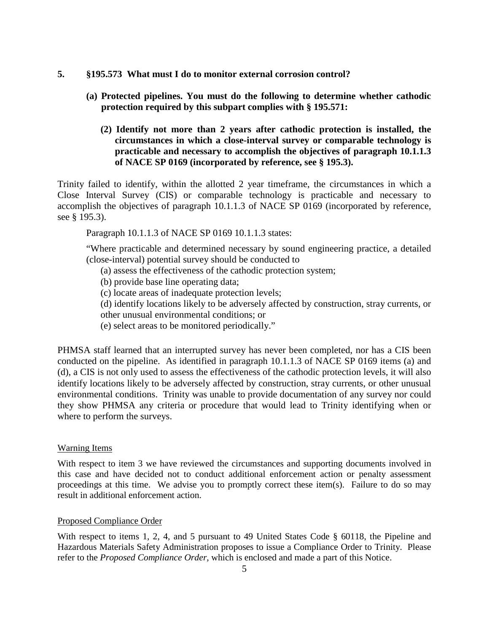- **5. §195.573 What must I do to monitor external corrosion control?** 
	- **(a) Protected pipelines. You must do the following to determine whether cathodic protection required by this subpart complies with § 195.571:** 
		- **(2) Identify not more than 2 years after cathodic protection is installed, the circumstances in which a close-interval survey or comparable technology is practicable and necessary to accomplish the objectives of paragraph 10.1.1.3 of NACE SP 0169 (incorporated by reference, see § 195.3).**

Trinity failed to identify, within the allotted 2 year timeframe, the circumstances in which a Close Interval Survey (CIS) or comparable technology is practicable and necessary to accomplish the objectives of paragraph 10.1.1.3 of NACE SP 0169 (incorporated by reference, see § 195.3).

Paragraph 10.1.1.3 of NACE SP 0169 10.1.1.3 states:

"Where practicable and determined necessary by sound engineering practice, a detailed (close-interval) potential survey should be conducted to

- (a) assess the effectiveness of the cathodic protection system;
- (b) provide base line operating data;
- (c) locate areas of inadequate protection levels;
- (d) identify locations likely to be adversely affected by construction, stray currents, or
- other unusual environmental conditions; or
- (e) select areas to be monitored periodically."

PHMSA staff learned that an interrupted survey has never been completed, nor has a CIS been conducted on the pipeline. As identified in paragraph 10.1.1.3 of NACE SP 0169 items (a) and (d), a CIS is not only used to assess the effectiveness of the cathodic protection levels, it will also identify locations likely to be adversely affected by construction, stray currents, or other unusual environmental conditions. Trinity was unable to provide documentation of any survey nor could they show PHMSA any criteria or procedure that would lead to Trinity identifying when or where to perform the surveys.

#### Warning Items

With respect to item 3 we have reviewed the circumstances and supporting documents involved in this case and have decided not to conduct additional enforcement action or penalty assessment proceedings at this time. We advise you to promptly correct these item(s). Failure to do so may result in additional enforcement action.

#### Proposed Compliance Order

With respect to items 1, 2, 4, and 5 pursuant to 49 United States Code § 60118, the Pipeline and Hazardous Materials Safety Administration proposes to issue a Compliance Order to Trinity. Please refer to the *Proposed Compliance Order*, which is enclosed and made a part of this Notice.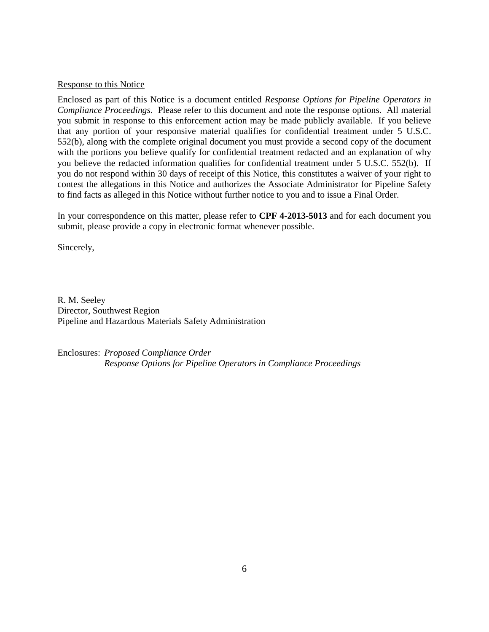#### Response to this Notice

Enclosed as part of this Notice is a document entitled *Response Options for Pipeline Operators in Compliance Proceedings*. Please refer to this document and note the response options. All material you submit in response to this enforcement action may be made publicly available. If you believe that any portion of your responsive material qualifies for confidential treatment under 5 U.S.C. 552(b), along with the complete original document you must provide a second copy of the document with the portions you believe qualify for confidential treatment redacted and an explanation of why you believe the redacted information qualifies for confidential treatment under 5 U.S.C. 552(b). If you do not respond within 30 days of receipt of this Notice, this constitutes a waiver of your right to contest the allegations in this Notice and authorizes the Associate Administrator for Pipeline Safety to find facts as alleged in this Notice without further notice to you and to issue a Final Order.

In your correspondence on this matter, please refer to **CPF 4-2013-5013** and for each document you submit, please provide a copy in electronic format whenever possible.

Sincerely,

R. M. Seeley Director, Southwest Region Pipeline and Hazardous Materials Safety Administration

Enclosures: *Proposed Compliance Order Response Options for Pipeline Operators in Compliance Proceedings*